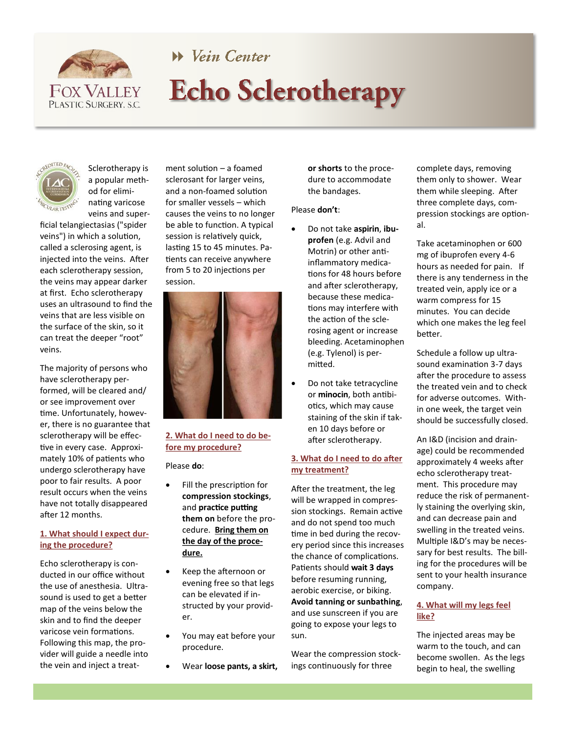

# W Vein Center **Echo Sclerotherapy**



Sclerotherapy is a popular method for eliminating varicose veins and super-

ficial telangiectasias ("spider veins") in which a solution, called a sclerosing agent, is injected into the veins. After each sclerotherapy session, the veins may appear darker at first. Echo sclerotherapy uses an ultrasound to find the veins that are less visible on the surface of the skin, so it can treat the deeper "root" veins.

The majority of persons who have sclerotherapy performed, will be cleared and/ or see improvement over time. Unfortunately, however, there is no guarantee that sclerotherapy will be effective in every case. Approximately 10% of patients who undergo sclerotherapy have poor to fair results. A poor result occurs when the veins have not totally disappeared after 12 months.

### **1. What should I expect during the procedure?**

Echo sclerotherapy is conducted in our office without the use of anesthesia. Ultrasound is used to get a better map of the veins below the skin and to find the deeper varicose vein formations. Following this map, the provider will guide a needle into the vein and inject a treat-

ment solution – a foamed sclerosant for larger veins, and a non-foamed solution for smaller vessels – which causes the veins to no longer be able to function. A typical session is relatively quick, lasting 15 to 45 minutes. Patients can receive anywhere from 5 to 20 injections per session.



# **2. What do I need to do before my procedure?**

Please **do**:

- Fill the prescription for **compression stockings**, and **practice putting them on** before the procedure. **Bring them on the day of the procedure.**
	- Keep the afternoon or evening free so that legs can be elevated if instructed by your provider.
	- You may eat before your procedure.
	- Wear **loose pants, a skirt,**

**or shorts** to the procedure to accommodate the bandages.

#### Please **don't**:

- Do not take **aspirin**, **ibuprofen** (e.g. Advil and Motrin) or other antiinflammatory medications for 48 hours before and after sclerotherapy, because these medications may interfere with the action of the sclerosing agent or increase bleeding. Acetaminophen (e.g. Tylenol) is permitted.
- Do not take tetracycline or **minocin**, both antibiotics, which may cause staining of the skin if taken 10 days before or after sclerotherapy.

#### **3. What do I need to do after my treatment?**

After the treatment, the leg will be wrapped in compression stockings. Remain active and do not spend too much time in bed during the recovery period since this increases the chance of complications. Patients should **wait 3 days**  before resuming running, aerobic exercise, or biking. **Avoid tanning or sunbathing**, and use sunscreen if you are going to expose your legs to sun.

Wear the compression stockings continuously for three

complete days, removing them only to shower. Wear them while sleeping. After three complete days, compression stockings are optional.

Take acetaminophen or 600 mg of ibuprofen every 4-6 hours as needed for pain. If there is any tenderness in the treated vein, apply ice or a warm compress for 15 minutes. You can decide which one makes the leg feel better.

Schedule a follow up ultrasound examination 3-7 days after the procedure to assess the treated vein and to check for adverse outcomes. Within one week, the target vein should be successfully closed.

An I&D (incision and drainage) could be recommended approximately 4 weeks after echo sclerotherapy treatment. This procedure may reduce the risk of permanently staining the overlying skin, and can decrease pain and swelling in the treated veins. Multiple I&D's may be necessary for best results. The billing for the procedures will be sent to your health insurance company.

## **4. What will my legs feel like?**

The injected areas may be warm to the touch, and can become swollen. As the legs begin to heal, the swelling